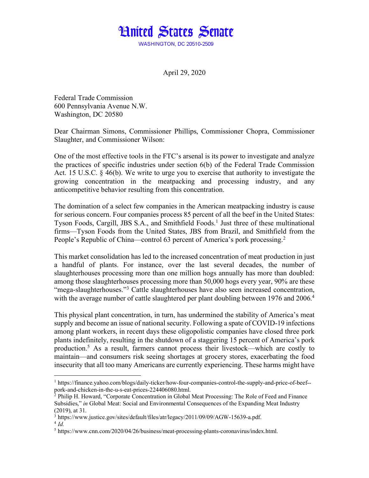

April 29, 2020

Federal Trade Commission 600 Pennsylvania Avenue N.W. Washington, DC 20580

Dear Chairman Simons, Commissioner Phillips, Commissioner Chopra, Commissioner Slaughter, and Commissioner Wilson:

One of the most effective tools in the FTC's arsenal is its power to investigate and analyze the practices of specific industries under section 6(b) of the Federal Trade Commission Act. 15 U.S.C. § 46(b). We write to urge you to exercise that authority to investigate the growing concentration in the meatpacking and processing industry, and any anticompetitive behavior resulting from this concentration.

The domination of a select few companies in the American meatpacking industry is cause for serious concern. Four companies process 85 percent of all the beef in the United States: Tyson Foods, Cargill, JBS S.A., and Smithfield Foods.<sup>1</sup> Just three of these multinational firms—Tyson Foods from the United States, JBS from Brazil, and Smithfield from the People's Republic of China—control 63 percent of America's pork processing.<sup>2</sup>

This market consolidation has led to the increased concentration of meat production in just a handful of plants. For instance, over the last several decades, the number of slaughterhouses processing more than one million hogs annually has more than doubled: among those slaughterhouses processing more than 50,000 hogs every year, 90% are these "mega-slaughterhouses."3 Cattle slaughterhouses have also seen increased concentration, with the average number of cattle slaughtered per plant doubling between 1976 and 2006.<sup>4</sup>

This physical plant concentration, in turn, has undermined the stability of America's meat supply and become an issue of national security. Following a spate of COVID-19 infections among plant workers, in recent days these oligopolistic companies have closed three pork plants indefinitely, resulting in the shutdown of a staggering 15 percent of America's pork production.5 As a result, farmers cannot process their livestock—which are costly to maintain—and consumers risk seeing shortages at grocery stores, exacerbating the food insecurity that all too many Americans are currently experiencing. These harms might have

<sup>1</sup> https://finance.yahoo.com/blogs/daily-ticker/how-four-companies-control-the-supply-and-price-of-beef- pork-and-chicken-in-the-u-s-eat-prices-224406080.html.

 $^2$  Philip H. Howard, "Corporate Concentration in Global Meat Processing: The Role of Feed and Finance Subsidies," *in* Global Meat: Social and Environmental Consequences of the Expanding Meat Industry (2019), at 31.

 $3$  https://www.justice.gov/sites/default/files/atr/legacy/2011/09/09/AGW-15639-a.pdf.

 $^{4}$  *Id*<sup> $^{-}$ </sup>

<sup>5</sup> https://www.cnn.com/2020/04/26/business/meat-processing-plants-coronavirus/index.html.